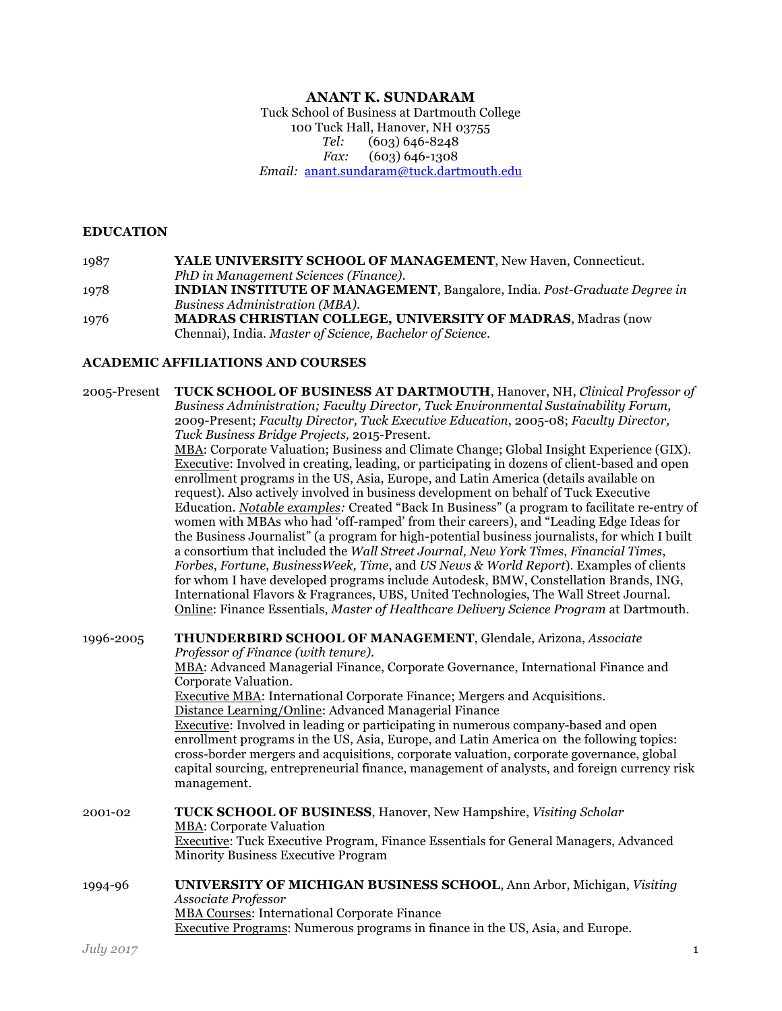#### **ANANT K. SUNDARAM**

Tuck School of Business at Dartmouth College 100 Tuck Hall, Hanover, NH 03755 *Tel:* (603) 646-8248 *Fax:* (603) 646-1308 *Email:* anant.sundaram@tuck.dartmouth.edu

#### **EDUCATION**

1987 **YALE UNIVERSITY SCHOOL OF MANAGEMENT**, New Haven, Connecticut. *PhD in Management Sciences (Finance)*. 1978 **INDIAN INSTITUTE OF MANAGEMENT**, Bangalore, India. *Post-Graduate Degree in Business Administration (MBA)*. 1976 **MADRAS CHRISTIAN COLLEGE, UNIVERSITY OF MADRAS**, Madras (now Chennai), India. *Master of Science, Bachelor of Science*.

#### **ACADEMIC AFFILIATIONS AND COURSES**

2005-Present **TUCK SCHOOL OF BUSINESS AT DARTMOUTH**, Hanover, NH, *Clinical Professor of Business Administration; Faculty Director, Tuck Environmental Sustainability Forum*, 2009-Present; *Faculty Director, Tuck Executive Education*, 2005-08; *Faculty Director, Tuck Business Bridge Projects,* 2015-Present. MBA: Corporate Valuation; Business and Climate Change; Global Insight Experience (GIX). Executive: Involved in creating, leading, or participating in dozens of client-based and open enrollment programs in the US, Asia, Europe, and Latin America (details available on request). Also actively involved in business development on behalf of Tuck Executive Education. *Notable examples:* Created "Back In Business" (a program to facilitate re-entry of women with MBAs who had 'off-ramped' from their careers), and "Leading Edge Ideas for the Business Journalist" (a program for high-potential business journalists, for which I built a consortium that included the *Wall Street Journal*, *New York Times*, *Financial Times*, *Forbes*, *Fortune*, *BusinessWeek, Time*, and *US News & World Report*). Examples of clients for whom I have developed programs include Autodesk, BMW, Constellation Brands, ING, International Flavors & Fragrances, UBS, United Technologies, The Wall Street Journal. Online: Finance Essentials, *Master of Healthcare Delivery Science Program* at Dartmouth. 1996-2005 **THUNDERBIRD SCHOOL OF MANAGEMENT**, Glendale, Arizona, *Associate Professor of Finance (with tenure)*. MBA: Advanced Managerial Finance, Corporate Governance, International Finance and Corporate Valuation. Executive MBA: International Corporate Finance; Mergers and Acquisitions. Distance Learning/Online: Advanced Managerial Finance Executive: Involved in leading or participating in numerous company-based and open enrollment programs in the US, Asia, Europe, and Latin America on the following topics: cross-border mergers and acquisitions, corporate valuation, corporate governance, global capital sourcing, entrepreneurial finance, management of analysts, and foreign currency risk management. 2001-02 **TUCK SCHOOL OF BUSINESS**, Hanover, New Hampshire, *Visiting Scholar* MBA: Corporate Valuation Executive: Tuck Executive Program, Finance Essentials for General Managers, Advanced Minority Business Executive Program 1994-96 **UNIVERSITY OF MICHIGAN BUSINESS SCHOOL**, Ann Arbor, Michigan, *Visiting Associate Professor* MBA Courses: International Corporate Finance Executive Programs: Numerous programs in finance in the US, Asia, and Europe.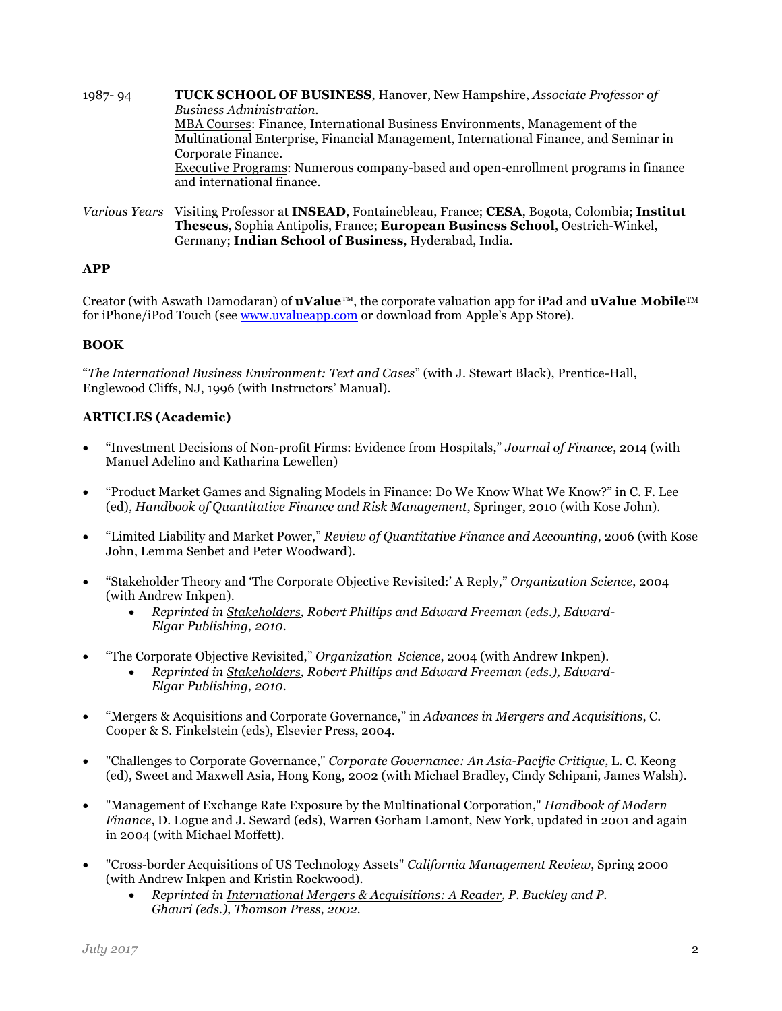- 1987- 94 **TUCK SCHOOL OF BUSINESS**, Hanover, New Hampshire, *Associate Professor of Business Administration.* MBA Courses: Finance, International Business Environments, Management of the Multinational Enterprise, Financial Management, International Finance, and Seminar in Corporate Finance. Executive Programs: Numerous company-based and open-enrollment programs in finance and international finance.
- *Various Years* Visiting Professor at **INSEAD**, Fontainebleau, France; **CESA**, Bogota, Colombia; **Institut Theseus**, Sophia Antipolis, France; **European Business School**, Oestrich-Winkel, Germany; **Indian School of Business**, Hyderabad, India.

# **APP**

Creator (with Aswath Damodaran) of **uValue**™, the corporate valuation app for iPad and **uValue Mobile**TM for iPhone/iPod Touch (see www.uvalueapp.com or download from Apple's App Store).

## **BOOK**

"*The International Business Environment: Text and Cases*" (with J. Stewart Black), Prentice-Hall, Englewood Cliffs, NJ, 1996 (with Instructors' Manual).

### **ARTICLES (Academic)**

- "Investment Decisions of Non-profit Firms: Evidence from Hospitals," *Journal of Finance*, 2014 (with Manuel Adelino and Katharina Lewellen)
- "Product Market Games and Signaling Models in Finance: Do We Know What We Know?" in C. F. Lee (ed), *Handbook of Quantitative Finance and Risk Management*, Springer, 2010 (with Kose John).
- "Limited Liability and Market Power," *Review of Quantitative Finance and Accounting*, 2006 (with Kose John, Lemma Senbet and Peter Woodward).
- "Stakeholder Theory and 'The Corporate Objective Revisited:' A Reply," *Organization Science*, 2004 (with Andrew Inkpen).
	- *Reprinted in Stakeholders, Robert Phillips and Edward Freeman (eds.), Edward-Elgar Publishing, 2010.*
- "The Corporate Objective Revisited," *Organization Science*, 2004 (with Andrew Inkpen).
	- *Reprinted in Stakeholders, Robert Phillips and Edward Freeman (eds.), Edward-Elgar Publishing, 2010.*
- "Mergers & Acquisitions and Corporate Governance," in *Advances in Mergers and Acquisitions*, C. Cooper & S. Finkelstein (eds), Elsevier Press, 2004.
- "Challenges to Corporate Governance," *Corporate Governance: An Asia-Pacific Critique*, L. C. Keong (ed), Sweet and Maxwell Asia, Hong Kong, 2002 (with Michael Bradley, Cindy Schipani, James Walsh).
- "Management of Exchange Rate Exposure by the Multinational Corporation," *Handbook of Modern Finance*, D. Logue and J. Seward (eds), Warren Gorham Lamont, New York, updated in 2001 and again in 2004 (with Michael Moffett).
- "Cross-border Acquisitions of US Technology Assets" *California Management Review*, Spring 2000 (with Andrew Inkpen and Kristin Rockwood).
	- *Reprinted in International Mergers & Acquisitions: A Reader, P. Buckley and P. Ghauri (eds.), Thomson Press, 2002.*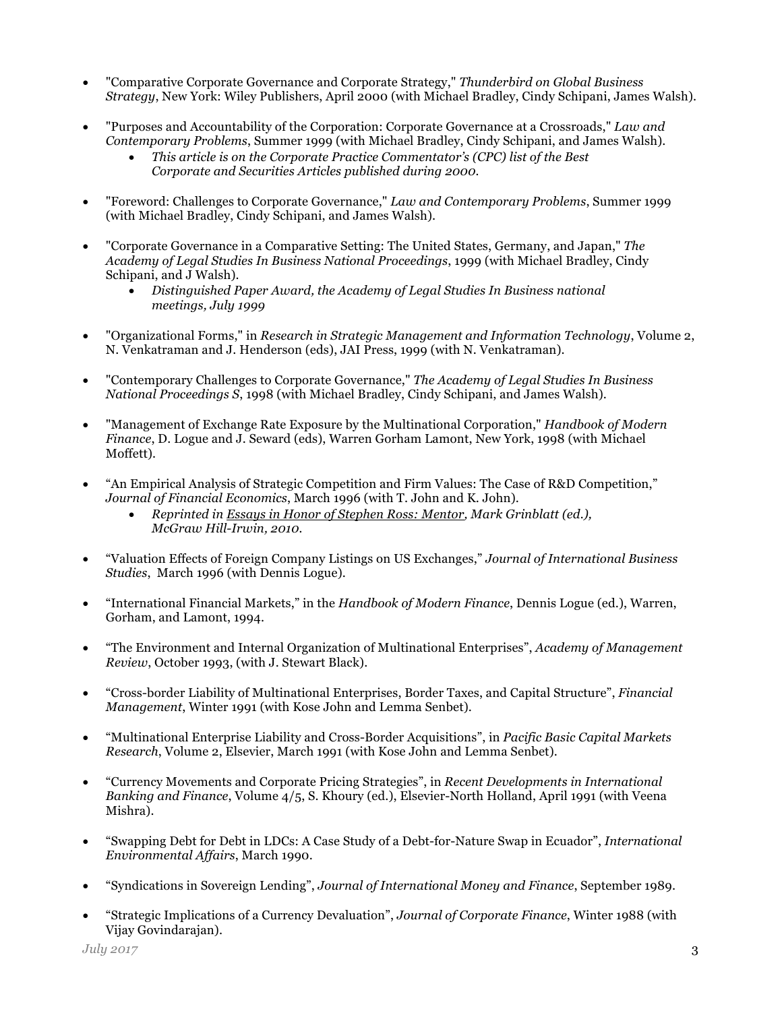- "Comparative Corporate Governance and Corporate Strategy," *Thunderbird on Global Business Strategy*, New York: Wiley Publishers, April 2000 (with Michael Bradley, Cindy Schipani, James Walsh).
- "Purposes and Accountability of the Corporation: Corporate Governance at a Crossroads," *Law and Contemporary Problems*, Summer 1999 (with Michael Bradley, Cindy Schipani, and James Walsh).
	- *This article is on the Corporate Practice Commentator's (CPC) list of the Best Corporate and Securities Articles published during 2000.*
- "Foreword: Challenges to Corporate Governance," *Law and Contemporary Problems*, Summer 1999 (with Michael Bradley, Cindy Schipani, and James Walsh).
- "Corporate Governance in a Comparative Setting: The United States, Germany, and Japan," *The Academy of Legal Studies In Business National Proceedings*, 1999 (with Michael Bradley, Cindy Schipani, and J Walsh).
	- *Distinguished Paper Award, the Academy of Legal Studies In Business national meetings, July 1999*
- "Organizational Forms," in *Research in Strategic Management and Information Technology*, Volume 2, N. Venkatraman and J. Henderson (eds), JAI Press, 1999 (with N. Venkatraman).
- "Contemporary Challenges to Corporate Governance," *The Academy of Legal Studies In Business National Proceedings S*, 1998 (with Michael Bradley, Cindy Schipani, and James Walsh).
- "Management of Exchange Rate Exposure by the Multinational Corporation," *Handbook of Modern Finance*, D. Logue and J. Seward (eds), Warren Gorham Lamont, New York, 1998 (with Michael Moffett).
- "An Empirical Analysis of Strategic Competition and Firm Values: The Case of R&D Competition," *Journal of Financial Economics*, March 1996 (with T. John and K. John).
	- *Reprinted in Essays in Honor of Stephen Ross: Mentor, Mark Grinblatt (ed.), McGraw Hill-Irwin, 2010.*
- "Valuation Effects of Foreign Company Listings on US Exchanges," *Journal of International Business Studies*, March 1996 (with Dennis Logue).
- "International Financial Markets," in the *Handbook of Modern Finance*, Dennis Logue (ed.), Warren, Gorham, and Lamont, 1994.
- "The Environment and Internal Organization of Multinational Enterprises", *Academy of Management Review*, October 1993, (with J. Stewart Black).
- "Cross-border Liability of Multinational Enterprises, Border Taxes, and Capital Structure", *Financial Management*, Winter 1991 (with Kose John and Lemma Senbet).
- "Multinational Enterprise Liability and Cross-Border Acquisitions", in *Pacific Basic Capital Markets Research*, Volume 2, Elsevier, March 1991 (with Kose John and Lemma Senbet).
- "Currency Movements and Corporate Pricing Strategies", in *Recent Developments in International Banking and Finance*, Volume 4/5, S. Khoury (ed.), Elsevier-North Holland, April 1991 (with Veena Mishra).
- "Swapping Debt for Debt in LDCs: A Case Study of a Debt-for-Nature Swap in Ecuador", *International Environmental Affairs*, March 1990.
- "Syndications in Sovereign Lending", *Journal of International Money and Finance*, September 1989.
- "Strategic Implications of a Currency Devaluation", *Journal of Corporate Finance*, Winter 1988 (with Vijay Govindarajan).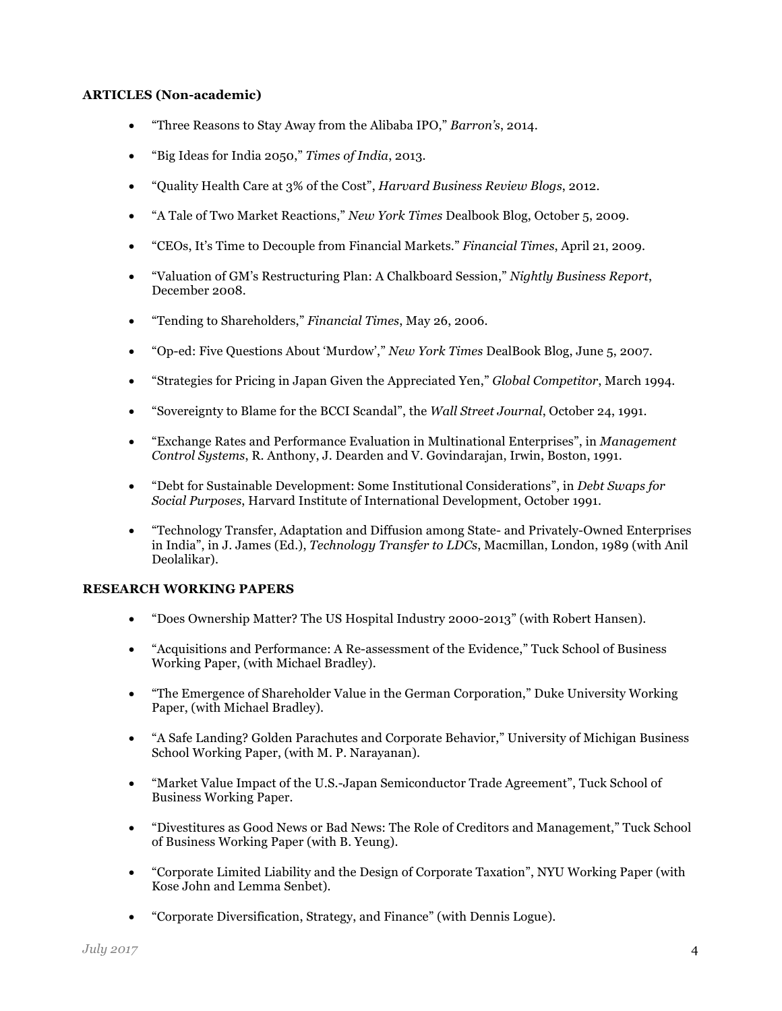### **ARTICLES (Non-academic)**

- "Three Reasons to Stay Away from the Alibaba IPO," *Barron's*, 2014.
- "Big Ideas for India 2050," *Times of India*, 2013.
- "Quality Health Care at 3% of the Cost", *Harvard Business Review Blogs*, 2012.
- "A Tale of Two Market Reactions," *New York Times* Dealbook Blog, October 5, 2009.
- "CEOs, It's Time to Decouple from Financial Markets." *Financial Times*, April 21, 2009.
- "Valuation of GM's Restructuring Plan: A Chalkboard Session," *Nightly Business Report*, December 2008.
- "Tending to Shareholders," *Financial Times*, May 26, 2006.
- "Op-ed: Five Questions About 'Murdow'," *New York Times* DealBook Blog, June 5, 2007.
- "Strategies for Pricing in Japan Given the Appreciated Yen," *Global Competitor*, March 1994.
- "Sovereignty to Blame for the BCCI Scandal", the *Wall Street Journal*, October 24, 1991.
- "Exchange Rates and Performance Evaluation in Multinational Enterprises", in *Management Control Systems*, R. Anthony, J. Dearden and V. Govindarajan, Irwin, Boston, 1991.
- "Debt for Sustainable Development: Some Institutional Considerations", in *Debt Swaps for Social Purposes*, Harvard Institute of International Development, October 1991.
- "Technology Transfer, Adaptation and Diffusion among State- and Privately-Owned Enterprises in India", in J. James (Ed.), *Technology Transfer to LDCs*, Macmillan, London, 1989 (with Anil Deolalikar).

#### **RESEARCH WORKING PAPERS**

- "Does Ownership Matter? The US Hospital Industry 2000-2013" (with Robert Hansen).
- "Acquisitions and Performance: A Re-assessment of the Evidence," Tuck School of Business Working Paper, (with Michael Bradley).
- "The Emergence of Shareholder Value in the German Corporation," Duke University Working Paper, (with Michael Bradley).
- "A Safe Landing? Golden Parachutes and Corporate Behavior," University of Michigan Business School Working Paper, (with M. P. Narayanan).
- "Market Value Impact of the U.S.-Japan Semiconductor Trade Agreement", Tuck School of Business Working Paper.
- "Divestitures as Good News or Bad News: The Role of Creditors and Management," Tuck School of Business Working Paper (with B. Yeung).
- "Corporate Limited Liability and the Design of Corporate Taxation", NYU Working Paper (with Kose John and Lemma Senbet).
- "Corporate Diversification, Strategy, and Finance" (with Dennis Logue).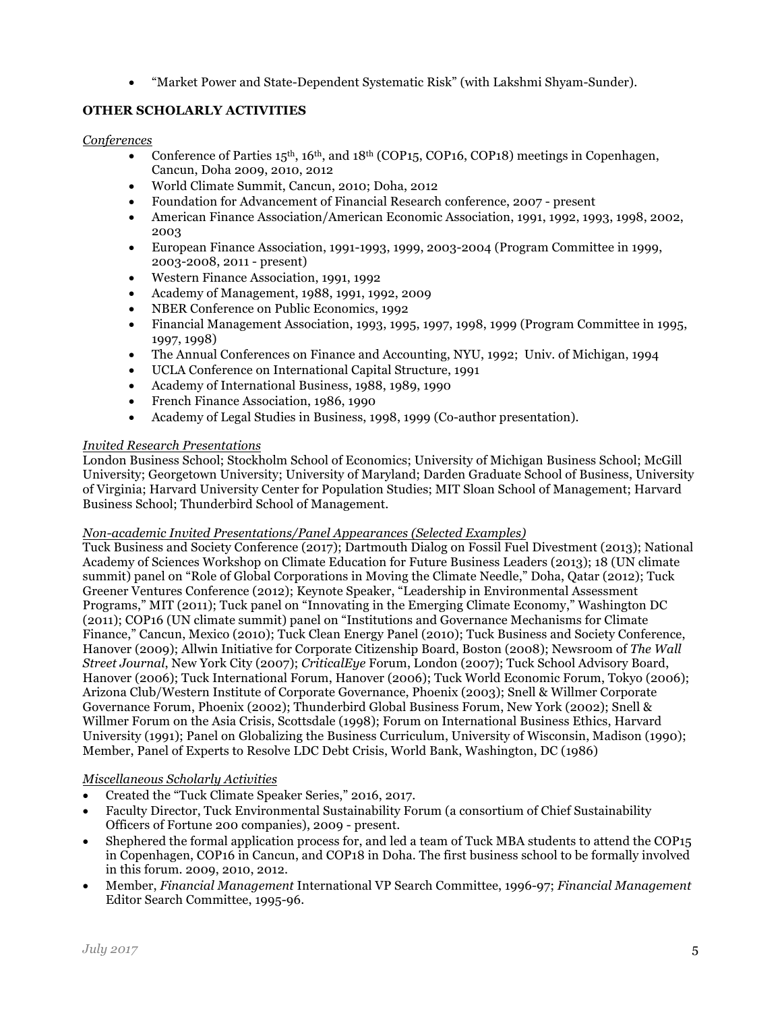• "Market Power and State-Dependent Systematic Risk" (with Lakshmi Shyam-Sunder).

# **OTHER SCHOLARLY ACTIVITIES**

## *Conferences*

- Conference of Parties  $15<sup>th</sup>$ ,  $16<sup>th</sup>$ , and  $18<sup>th</sup>$  (COP15, COP16, COP18) meetings in Copenhagen, Cancun, Doha 2009, 2010, 2012
- World Climate Summit, Cancun, 2010; Doha, 2012
- Foundation for Advancement of Financial Research conference, 2007 present
- American Finance Association/American Economic Association, 1991, 1992, 1993, 1998, 2002, 2003
- European Finance Association, 1991-1993, 1999, 2003-2004 (Program Committee in 1999, 2003-2008, 2011 - present)
- Western Finance Association, 1991, 1992
- Academy of Management, 1988, 1991, 1992, 2009
- NBER Conference on Public Economics, 1992
- Financial Management Association, 1993, 1995, 1997, 1998, 1999 (Program Committee in 1995, 1997, 1998)
- The Annual Conferences on Finance and Accounting, NYU, 1992; Univ. of Michigan, 1994
- UCLA Conference on International Capital Structure, 1991
- Academy of International Business, 1988, 1989, 1990
- French Finance Association, 1986, 1990
- Academy of Legal Studies in Business, 1998, 1999 (Co-author presentation).

### *Invited Research Presentations*

London Business School; Stockholm School of Economics; University of Michigan Business School; McGill University; Georgetown University; University of Maryland; Darden Graduate School of Business, University of Virginia; Harvard University Center for Population Studies; MIT Sloan School of Management; Harvard Business School; Thunderbird School of Management.

#### *Non-academic Invited Presentations/Panel Appearances (Selected Examples)*

Tuck Business and Society Conference (2017); Dartmouth Dialog on Fossil Fuel Divestment (2013); National Academy of Sciences Workshop on Climate Education for Future Business Leaders (2013); 18 (UN climate summit) panel on "Role of Global Corporations in Moving the Climate Needle," Doha, Qatar (2012); Tuck Greener Ventures Conference (2012); Keynote Speaker, "Leadership in Environmental Assessment Programs," MIT (2011); Tuck panel on "Innovating in the Emerging Climate Economy," Washington DC (2011); COP16 (UN climate summit) panel on "Institutions and Governance Mechanisms for Climate Finance," Cancun, Mexico (2010); Tuck Clean Energy Panel (2010); Tuck Business and Society Conference, Hanover (2009); Allwin Initiative for Corporate Citizenship Board, Boston (2008); Newsroom of *The Wall Street Journal*, New York City (2007); *CriticalEye* Forum, London (2007); Tuck School Advisory Board, Hanover (2006); Tuck International Forum, Hanover (2006); Tuck World Economic Forum, Tokyo (2006); Arizona Club/Western Institute of Corporate Governance, Phoenix (2003); Snell & Willmer Corporate Governance Forum, Phoenix (2002); Thunderbird Global Business Forum, New York (2002); Snell & Willmer Forum on the Asia Crisis, Scottsdale (1998); Forum on International Business Ethics, Harvard University (1991); Panel on Globalizing the Business Curriculum, University of Wisconsin, Madison (1990); Member, Panel of Experts to Resolve LDC Debt Crisis, World Bank, Washington, DC (1986)

#### *Miscellaneous Scholarly Activities*

- Created the "Tuck Climate Speaker Series," 2016, 2017.
- Faculty Director, Tuck Environmental Sustainability Forum (a consortium of Chief Sustainability Officers of Fortune 200 companies), 2009 - present.
- Shephered the formal application process for, and led a team of Tuck MBA students to attend the COP15 in Copenhagen, COP16 in Cancun, and COP18 in Doha. The first business school to be formally involved in this forum. 2009, 2010, 2012.
- Member, *Financial Management* International VP Search Committee, 1996-97; *Financial Management* Editor Search Committee, 1995-96.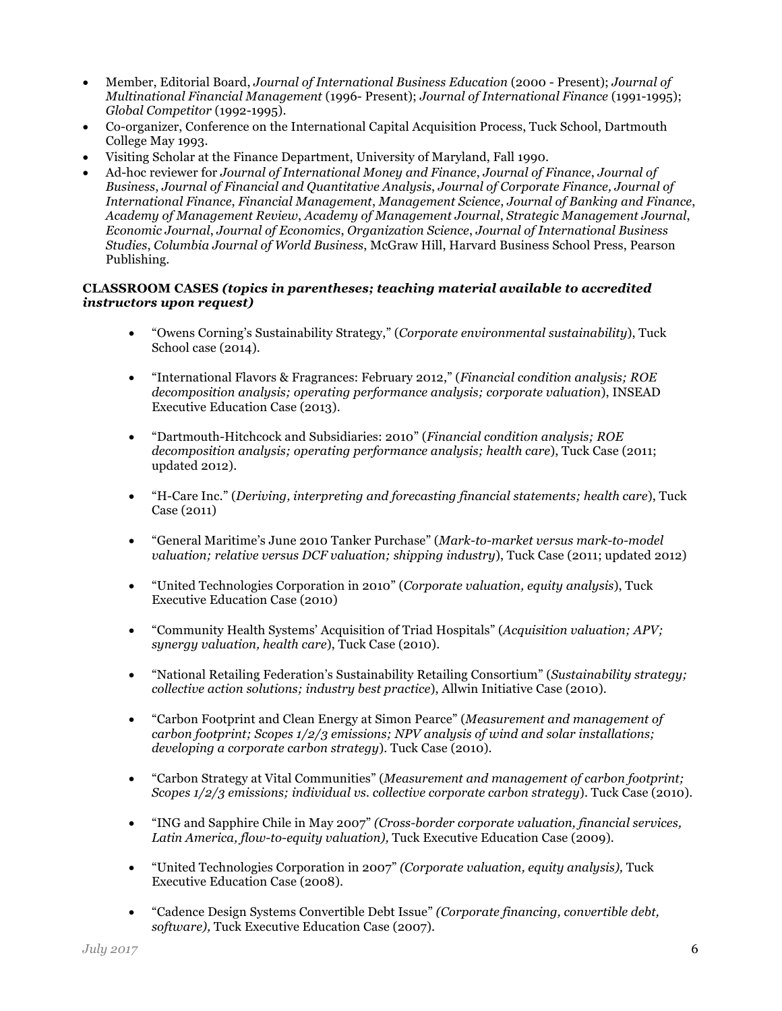- Member, Editorial Board, *Journal of International Business Education* (2000 Present); *Journal of Multinational Financial Management* (1996- Present); *Journal of International Finance* (1991-1995); *Global Competitor* (1992-1995).
- Co-organizer, Conference on the International Capital Acquisition Process, Tuck School, Dartmouth College May 1993.
- Visiting Scholar at the Finance Department, University of Maryland, Fall 1990.
- Ad-hoc reviewer for *Journal of International Money and Finance*, *Journal of Finance*, *Journal of Business*, *Journal of Financial and Quantitative Analysis*, *Journal of Corporate Finance, Journal of International Finance*, *Financial Management*, *Management Science*, *Journal of Banking and Finance*, *Academy of Management Review*, *Academy of Management Journal*, *Strategic Management Journal*, *Economic Journal*, *Journal of Economics*, *Organization Science*, *Journal of International Business Studies*, *Columbia Journal of World Business*, McGraw Hill, Harvard Business School Press, Pearson Publishing.

### **CLASSROOM CASES** *(topics in parentheses; teaching material available to accredited instructors upon request)*

- "Owens Corning's Sustainability Strategy," (*Corporate environmental sustainability*), Tuck School case (2014).
- "International Flavors & Fragrances: February 2012," (*Financial condition analysis; ROE decomposition analysis; operating performance analysis; corporate valuation*), INSEAD Executive Education Case (2013).
- "Dartmouth-Hitchcock and Subsidiaries: 2010" (*Financial condition analysis; ROE decomposition analysis; operating performance analysis; health care*), Tuck Case (2011; updated 2012).
- "H-Care Inc." (*Deriving, interpreting and forecasting financial statements; health care*), Tuck Case (2011)
- "General Maritime's June 2010 Tanker Purchase" (*Mark-to-market versus mark-to-model valuation; relative versus DCF valuation; shipping industry*), Tuck Case (2011; updated 2012)
- "United Technologies Corporation in 2010" (*Corporate valuation, equity analysis*), Tuck Executive Education Case (2010)
- "Community Health Systems' Acquisition of Triad Hospitals" (*Acquisition valuation; APV; synergy valuation, health care*), Tuck Case (2010).
- "National Retailing Federation's Sustainability Retailing Consortium" (*Sustainability strategy; collective action solutions; industry best practice*), Allwin Initiative Case (2010).
- "Carbon Footprint and Clean Energy at Simon Pearce" (*Measurement and management of carbon footprint; Scopes 1/2/3 emissions; NPV analysis of wind and solar installations; developing a corporate carbon strategy*). Tuck Case (2010).
- "Carbon Strategy at Vital Communities" (*Measurement and management of carbon footprint; Scopes 1/2/3 emissions; individual vs. collective corporate carbon strategy*). Tuck Case (2010).
- "ING and Sapphire Chile in May 2007" *(Cross-border corporate valuation, financial services, Latin America, flow-to-equity valuation),* Tuck Executive Education Case (2009).
- "United Technologies Corporation in 2007" *(Corporate valuation, equity analysis),* Tuck Executive Education Case (2008).
- "Cadence Design Systems Convertible Debt Issue" *(Corporate financing, convertible debt, software),* Tuck Executive Education Case (2007).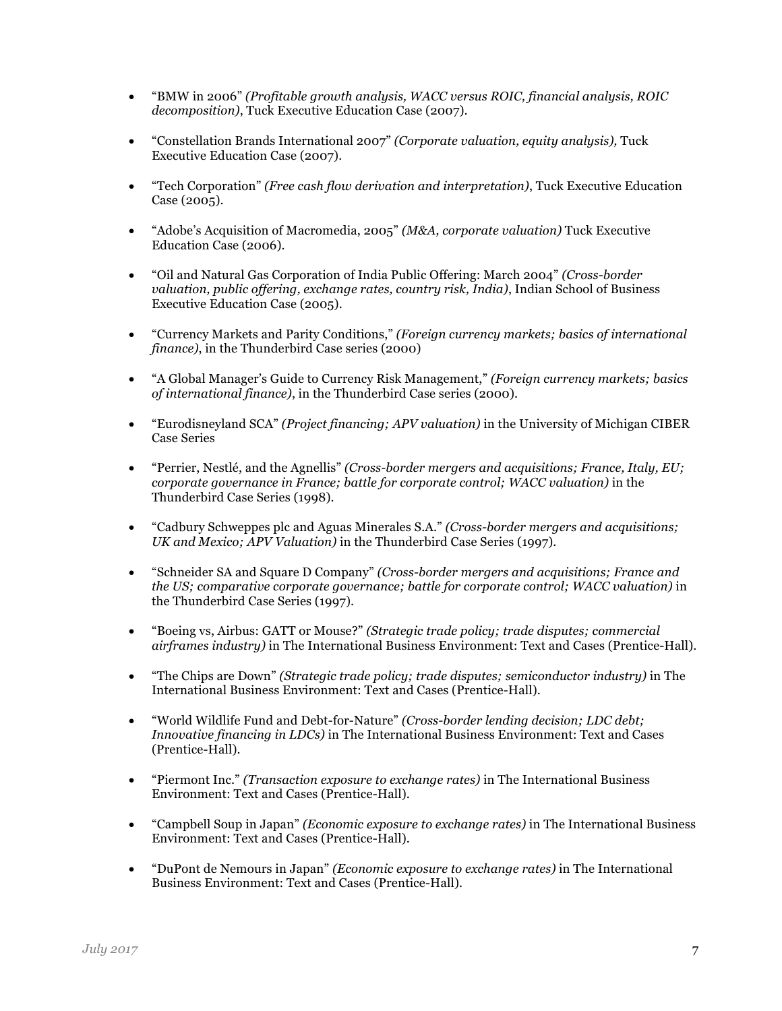- "BMW in 2006" *(Profitable growth analysis, WACC versus ROIC, financial analysis, ROIC decomposition)*, Tuck Executive Education Case (2007).
- "Constellation Brands International 2007" *(Corporate valuation, equity analysis),* Tuck Executive Education Case (2007).
- "Tech Corporation" *(Free cash flow derivation and interpretation)*, Tuck Executive Education Case (2005).
- "Adobe's Acquisition of Macromedia, 2005" *(M&A, corporate valuation)* Tuck Executive Education Case (2006).
- "Oil and Natural Gas Corporation of India Public Offering: March 2004" *(Cross-border valuation, public offering, exchange rates, country risk, India)*, Indian School of Business Executive Education Case (2005).
- "Currency Markets and Parity Conditions," *(Foreign currency markets; basics of international finance)*, in the Thunderbird Case series (2000)
- "A Global Manager's Guide to Currency Risk Management," *(Foreign currency markets; basics of international finance)*, in the Thunderbird Case series (2000).
- "Eurodisneyland SCA" *(Project financing; APV valuation)* in the University of Michigan CIBER Case Series
- "Perrier, Nestlé, and the Agnellis" *(Cross-border mergers and acquisitions; France, Italy, EU; corporate governance in France; battle for corporate control; WACC valuation)* in the Thunderbird Case Series (1998).
- "Cadbury Schweppes plc and Aguas Minerales S.A." *(Cross-border mergers and acquisitions; UK and Mexico; APV Valuation)* in the Thunderbird Case Series (1997).
- "Schneider SA and Square D Company" *(Cross-border mergers and acquisitions; France and the US; comparative corporate governance; battle for corporate control; WACC valuation)* in the Thunderbird Case Series (1997).
- "Boeing vs, Airbus: GATT or Mouse?" *(Strategic trade policy; trade disputes; commercial airframes industry)* in The International Business Environment: Text and Cases (Prentice-Hall).
- "The Chips are Down" *(Strategic trade policy; trade disputes; semiconductor industry)* in The International Business Environment: Text and Cases (Prentice-Hall).
- "World Wildlife Fund and Debt-for-Nature" *(Cross-border lending decision; LDC debt; Innovative financing in LDCs)* in The International Business Environment: Text and Cases (Prentice-Hall).
- "Piermont Inc." *(Transaction exposure to exchange rates)* in The International Business Environment: Text and Cases (Prentice-Hall).
- "Campbell Soup in Japan" *(Economic exposure to exchange rates)* in The International Business Environment: Text and Cases (Prentice-Hall).
- "DuPont de Nemours in Japan" *(Economic exposure to exchange rates)* in The International Business Environment: Text and Cases (Prentice-Hall).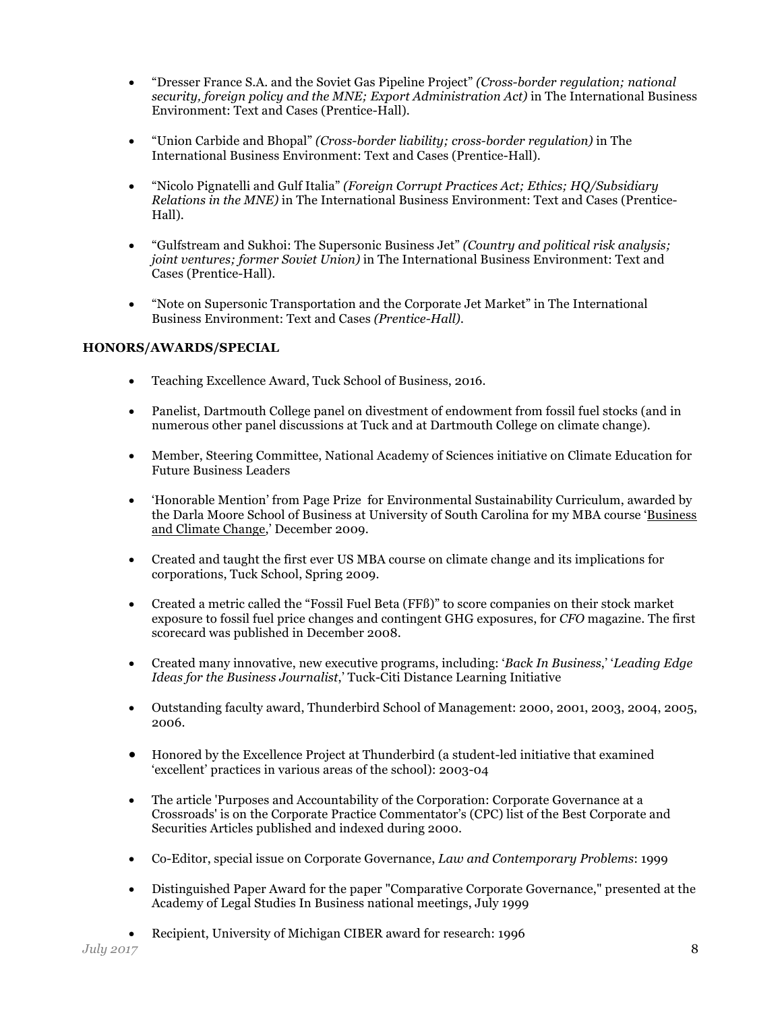- "Dresser France S.A. and the Soviet Gas Pipeline Project" *(Cross-border regulation; national security, foreign policy and the MNE; Export Administration Act)* in The International Business Environment: Text and Cases (Prentice-Hall).
- "Union Carbide and Bhopal" *(Cross-border liability; cross-border regulation)* in The International Business Environment: Text and Cases (Prentice-Hall).
- "Nicolo Pignatelli and Gulf Italia" *(Foreign Corrupt Practices Act; Ethics; HQ/Subsidiary Relations in the MNE)* in The International Business Environment: Text and Cases (Prentice-Hall).
- "Gulfstream and Sukhoi: The Supersonic Business Jet" *(Country and political risk analysis; joint ventures; former Soviet Union)* in The International Business Environment: Text and Cases (Prentice-Hall).
- "Note on Supersonic Transportation and the Corporate Jet Market" in The International Business Environment: Text and Cases *(Prentice-Hall).*

# **HONORS/AWARDS/SPECIAL**

- Teaching Excellence Award, Tuck School of Business, 2016.
- Panelist, Dartmouth College panel on divestment of endowment from fossil fuel stocks (and in numerous other panel discussions at Tuck and at Dartmouth College on climate change).
- Member, Steering Committee, National Academy of Sciences initiative on Climate Education for Future Business Leaders
- 'Honorable Mention' from Page Prize for Environmental Sustainability Curriculum, awarded by the Darla Moore School of Business at University of South Carolina for my MBA course 'Business and Climate Change,' December 2009.
- Created and taught the first ever US MBA course on climate change and its implications for corporations, Tuck School, Spring 2009.
- Created a metric called the "Fossil Fuel Beta (FFß)" to score companies on their stock market exposure to fossil fuel price changes and contingent GHG exposures, for *CFO* magazine. The first scorecard was published in December 2008.
- Created many innovative, new executive programs, including: '*Back In Business*,' '*Leading Edge Ideas for the Business Journalist*,' Tuck-Citi Distance Learning Initiative
- Outstanding faculty award, Thunderbird School of Management: 2000, 2001, 2003, 2004, 2005, 2006.
- Honored by the Excellence Project at Thunderbird (a student-led initiative that examined 'excellent' practices in various areas of the school): 2003-04
- The article 'Purposes and Accountability of the Corporation: Corporate Governance at a Crossroads' is on the Corporate Practice Commentator's (CPC) list of the Best Corporate and Securities Articles published and indexed during 2000.
- Co-Editor, special issue on Corporate Governance, *Law and Contemporary Problems*: 1999
- Distinguished Paper Award for the paper "Comparative Corporate Governance," presented at the Academy of Legal Studies In Business national meetings, July 1999
- Recipient, University of Michigan CIBER award for research: 1996